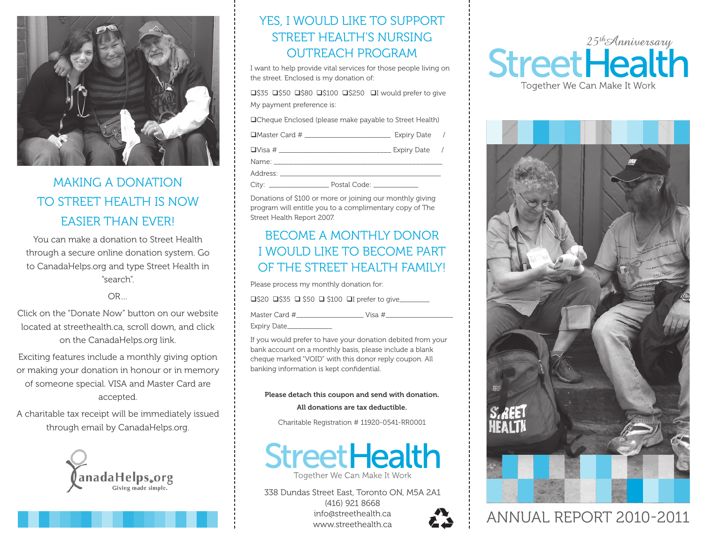

# MAKING A DONATION to Street Health is now easier than ever!

You can make a donation to Street Health through a secure online donation system. Go to CanadaHelps.org and type Street Health in "search".

#### OR…

Click on the "Donate Now" button on our website located at streethealth.ca, scroll down, and click on the CanadaHelps.org link.

Exciting features include a monthly giving option or making your donation in honour or in memory of someone special. VISA and Master Card are accepted.

A charitable tax receipt will be immediately issued through email by CanadaHelps.org.



# YES, I WOULD LIKE TO SUPPORT STREET HEALTH'S NURSING OUTREACH PROGRAM

I want to help provide vital services for those people living on the street. Enclosed is my donation of:

 $\square$ \$35  $\square$ \$50  $\square$ \$80  $\square$ \$100  $\square$ \$250  $\square$ I would prefer to give My payment preference is:

**QCheque Enclosed (please make payable to Street Health)** 

qMaster Card # \_\_\_\_\_\_\_\_\_\_\_\_\_\_\_\_\_\_\_\_\_\_\_ Expiry Date /

qVisa # \_\_\_\_\_\_\_\_\_\_\_\_\_\_\_\_\_\_\_\_\_\_\_\_\_\_\_\_\_\_ Expiry Date /

Name: \_\_\_\_\_\_\_\_\_\_\_\_\_\_\_\_\_\_\_\_\_\_\_\_\_\_\_\_\_\_\_\_\_\_\_\_\_\_\_\_\_\_\_\_\_

Address: \_\_\_\_\_\_\_\_\_\_\_\_\_\_\_\_\_\_\_\_\_\_\_\_\_\_\_\_\_\_\_\_\_\_\_\_\_\_\_\_\_\_\_

City: \_\_\_\_\_\_\_\_\_\_\_\_\_\_\_\_ Postal Code: \_\_\_\_\_\_\_\_\_\_\_\_

Donations of \$100 or more or joining our monthly giving program will entitle you to a complimentary copy of The Street Health Report 2007.

# BECOME A MONTHLY DONOR I WOULD LIKE TO BECOME PART OF THE STREET HEALTH FAMILY!

Please process my monthly donation for:

q\$20 q\$35 q \$50 q \$100 qI prefer to give\_\_\_\_\_\_\_\_

Master Card #\_\_\_\_\_\_\_\_\_\_\_\_\_\_\_\_\_\_ Visa #\_\_\_\_\_\_\_\_\_\_\_\_\_\_\_\_\_\_

Expiry Date\_\_\_\_\_\_\_\_\_\_\_\_

If you would prefer to have your donation debited from your bank account on a monthly basis, please include a blank cheque marked "VOID" with this donor reply coupon. All banking information is kept confidential.

#### Please detach this coupon and send with donation.

All donations are tax deductible.

Charitable Registration # 11920-0541-RR0001



338 Dundas Street East, Toronto ON, M5A 2A1 (416) 921 8668 info@streethealth.ca www.streethealth.ca







# **ANNUAL REPORT 2010-2011**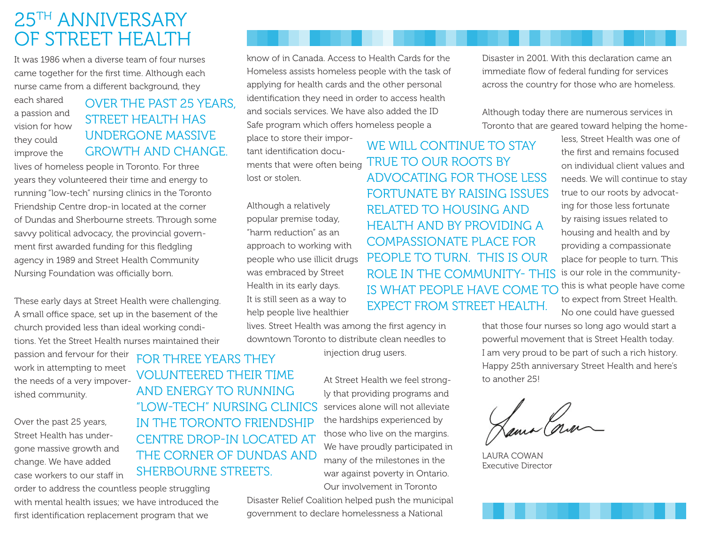# 25th Anniversary OF STREET HEALTH

It was 1986 when a diverse team of four nurses came together for the first time. Although each nurse came from a different background, they

each shared a passion and vision for how they could improve the

# Over the past 25 years, STREET HEALTH HAS undergone massive

lives of homeless people in Toronto. For three years they volunteered their time and energy to running "low-tech" nursing clinics in the Toronto Friendship Centre drop-in located at the corner of Dundas and Sherbourne streets. Through some savvy political advocacy, the provincial government first awarded funding for this fledgling agency in 1989 and Street Health Community Nursing Foundation was officially born.

These early days at Street Health were challenging. A small office space, set up in the basement of the church provided less than ideal working conditions. Yet the Street Health nurses maintained their

passion and fervour for their work in attempting to meet the needs of a very impoverished community.

Over the past 25 years, Street Health has undergone massive growth and change. We have added case workers to our staff in

order to address the countless people struggling with mental health issues; we have introduced the first identification replacement program that we

know of in Canada. Access to Health Cards for the Homeless assists homeless people with the task of applying for health cards and the other personal identification they need in order to access health and socials services. We have also added the ID Safe program which offers homeless people a

place to store their important identification documents that were often being lost or stolen.

Although a relatively popular premise today, "harm reduction" as an approach to working with people who use illicit drugs was embraced by Street Health in its early days. It is still seen as a way to help people live healthier

lives. Street Health was among the first agency in downtown Toronto to distribute clean needles to

injection drug users.

At Street Health we feel strongly that providing programs and services alone will not alleviate the hardships experienced by those who live on the margins. We have proudly participated in FOR THREE YEARS THEY volunteered their time and energy to running "low-tech" nursing clinics in the Toronto Friendship CENTRE DROP-IN LOCATED AT THE CORNER OF DUNDAS AND SHERBOURNE STREETS.

> Our involvement in Toronto Disaster Relief Coalition helped push the municipal government to declare homelessness a National

many of the milestones in the war against poverty in Ontario.

Disaster in 2001. With this declaration came an immediate flow of federal funding for services across the country for those who are homeless.

Although today there are numerous services in Toronto that are geared toward helping the home-

GROWTH AND CHANGE tant identification docu-<br>CROWTH AND CHANGE tant identification docu-TRUE TO OUR ROOTS BY advocating for those less fortunate by raising issues related to housing and health and by providing a compassionate place for people to turn. This is our role in the community- this is what people have come to expect from Street Health.

less, Street Health was one of the first and remains focused on individual client values and needs. We will continue to stay true to our roots by advocating for those less fortunate by raising issues related to housing and health and by providing a compassionate place for people to turn. This is our role in the communitythis is what people have come to expect from Street Health.

No one could have guessed that those four nurses so long ago would start a powerful movement that is Street Health today.

I am very proud to be part of such a rich history. Happy 25th anniversary Street Health and here's to another 25!

Hama Cora

Laura Cowan Executive Director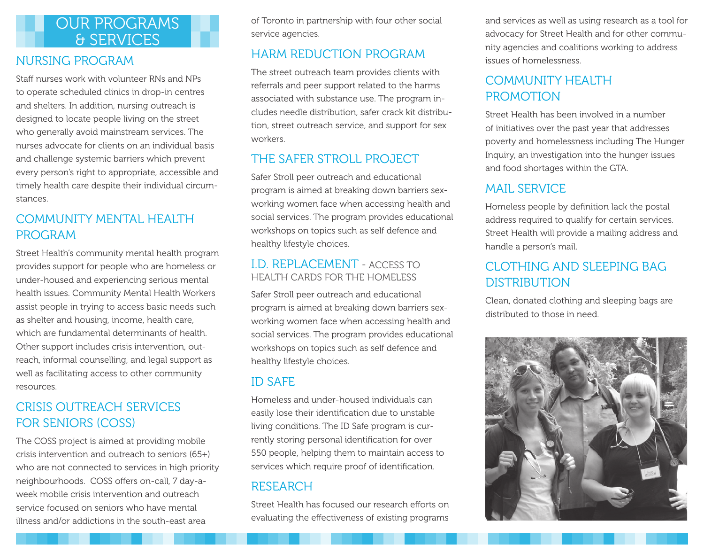# OUR PROGRAMS & SERVICES

### Nursing Program

Staff nurses work with volunteer RNs and NPs to operate scheduled clinics in drop-in centres and shelters. In addition, nursing outreach is designed to locate people living on the street who generally avoid mainstream services. The nurses advocate for clients on an individual basis and challenge systemic barriers which prevent every person's right to appropriate, accessible and timely health care despite their individual circumstances.

## COMMUNITY MENTAL HEALTH Program

Street Health's community mental health program provides support for people who are homeless or under-housed and experiencing serious mental health issues. Community Mental Health Workers assist people in trying to access basic needs such as shelter and housing, income, health care, which are fundamental determinants of health. Other support includes crisis intervention, outreach, informal counselling, and legal support as well as facilitating access to other community resources.

# Crisis Outreach Services for Seniors (COSS)

The COSS project is aimed at providing mobile crisis intervention and outreach to seniors (65+) who are not connected to services in high priority neighbourhoods. COSS offers on-call, 7 day-aweek mobile crisis intervention and outreach service focused on seniors who have mental illness and/or addictions in the south-east area

of Toronto in partnership with four other social service agencies.

## Harm Reduction Program

The street outreach team provides clients with referrals and peer support related to the harms associated with substance use. The program includes needle distribution, safer crack kit distribution, street outreach service, and support for sex workers.

## The Safer Stroll Project

Safer Stroll peer outreach and educational program is aimed at breaking down barriers sexworking women face when accessing health and social services. The program provides educational workshops on topics such as self defence and healthy lifestyle choices.

### I.D. Replacement - Access to Health Cards for the Homeless

Safer Stroll peer outreach and educational program is aimed at breaking down barriers sexworking women face when accessing health and social services. The program provides educational workshops on topics such as self defence and healthy lifestyle choices.

### ID Safe

Homeless and under-housed individuals can easily lose their identification due to unstable living conditions. The ID Safe program is currently storing personal identification for over 550 people, helping them to maintain access to services which require proof of identification.

### **RESEARCH**

Street Health has focused our research efforts on evaluating the effectiveness of existing programs

and services as well as using research as a tool for advocacy for Street Health and for other community agencies and coalitions working to address issues of homelessness.

# COMMUNITY HEALTH **PROMOTION**

Street Health has been involved in a number of initiatives over the past year that addresses poverty and homelessness including The Hunger Inquiry, an investigation into the hunger issues and food shortages within the GTA.

# Mail Service

Homeless people by definition lack the postal address required to qualify for certain services. Street Health will provide a mailing address and handle a person's mail.

# Clothing and Sleeping Bag **DISTRIBUTION**

Clean, donated clothing and sleeping bags are distributed to those in need.